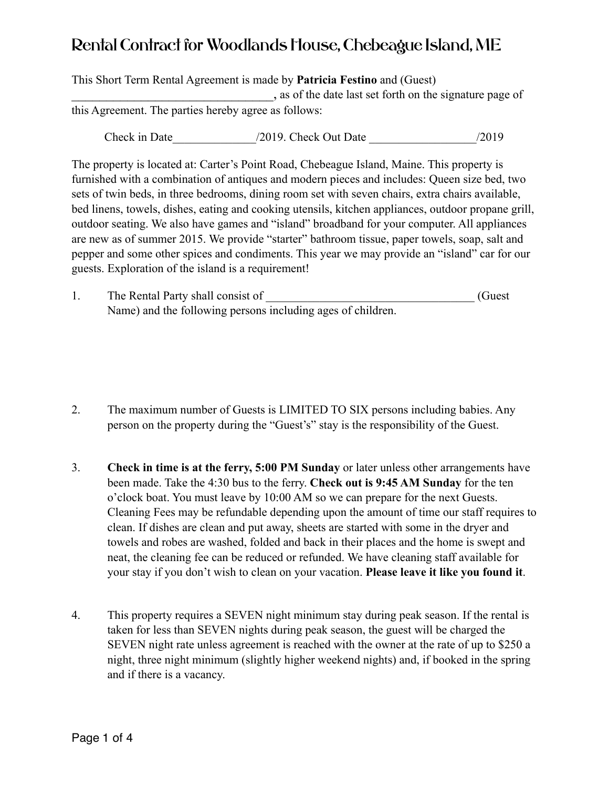This Short Term Rental Agreement is made by **Patricia Festino** and (Guest)

\_\_\_\_\_\_\_\_\_\_\_\_\_\_\_\_\_\_\_\_\_\_\_\_\_\_\_\_\_, as of the date last set forth on the signature page of this Agreement. The parties hereby agree as follows:

Check in Date  $/2019$ . Check Out Date  $/2019$ 

The property is located at: Carter's Point Road, Chebeague Island, Maine. This property is furnished with a combination of antiques and modern pieces and includes: Queen size bed, two sets of twin beds, in three bedrooms, dining room set with seven chairs, extra chairs available, bed linens, towels, dishes, eating and cooking utensils, kitchen appliances, outdoor propane grill, outdoor seating. We also have games and "island" broadband for your computer. All appliances are new as of summer 2015. We provide "starter" bathroom tissue, paper towels, soap, salt and pepper and some other spices and condiments. This year we may provide an "island" car for our guests. Exploration of the island is a requirement!

| The Rental Party shall consist of                           | (Guest) |
|-------------------------------------------------------------|---------|
| Name) and the following persons including ages of children. |         |

- 2. The maximum number of Guests is LIMITED TO SIX persons including babies. Any person on the property during the "Guest's" stay is the responsibility of the Guest.
- 3. **Check in time is at the ferry, 5:00 PM Sunday** or later unless other arrangements have been made. Take the 4:30 bus to the ferry. **Check out is 9:45 AM Sunday** for the ten o'clock boat. You must leave by 10:00 AM so we can prepare for the next Guests. Cleaning Fees may be refundable depending upon the amount of time our staff requires to clean. If dishes are clean and put away, sheets are started with some in the dryer and towels and robes are washed, folded and back in their places and the home is swept and neat, the cleaning fee can be reduced or refunded. We have cleaning staff available for your stay if you don't wish to clean on your vacation. **Please leave it like you found it**.
- 4. This property requires a SEVEN night minimum stay during peak season. If the rental is taken for less than SEVEN nights during peak season, the guest will be charged the SEVEN night rate unless agreement is reached with the owner at the rate of up to \$250 a night, three night minimum (slightly higher weekend nights) and, if booked in the spring and if there is a vacancy.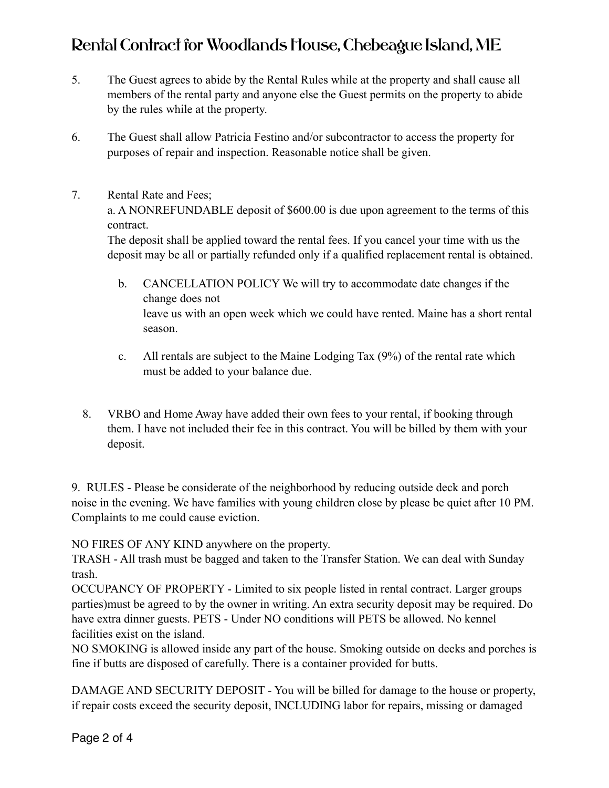- 5. The Guest agrees to abide by the Rental Rules while at the property and shall cause all members of the rental party and anyone else the Guest permits on the property to abide by the rules while at the property.
- 6. The Guest shall allow Patricia Festino and/or subcontractor to access the property for purposes of repair and inspection. Reasonable notice shall be given.
- 7. Rental Rate and Fees;

a. A NONREFUNDABLE deposit of \$600.00 is due upon agreement to the terms of this contract.

The deposit shall be applied toward the rental fees. If you cancel your time with us the deposit may be all or partially refunded only if a qualified replacement rental is obtained.

- b. CANCELLATION POLICY We will try to accommodate date changes if the change does not leave us with an open week which we could have rented. Maine has a short rental season.
- c. All rentals are subject to the Maine Lodging Tax (9%) of the rental rate which must be added to your balance due.
- 8. VRBO and Home Away have added their own fees to your rental, if booking through them. I have not included their fee in this contract. You will be billed by them with your deposit.

9. RULES - Please be considerate of the neighborhood by reducing outside deck and porch noise in the evening. We have families with young children close by please be quiet after 10 PM. Complaints to me could cause eviction.

NO FIRES OF ANY KIND anywhere on the property.

TRASH - All trash must be bagged and taken to the Transfer Station. We can deal with Sunday trash.

OCCUPANCY OF PROPERTY - Limited to six people listed in rental contract. Larger groups parties)must be agreed to by the owner in writing. An extra security deposit may be required. Do have extra dinner guests. PETS - Under NO conditions will PETS be allowed. No kennel facilities exist on the island.

NO SMOKING is allowed inside any part of the house. Smoking outside on decks and porches is fine if butts are disposed of carefully. There is a container provided for butts.

DAMAGE AND SECURITY DEPOSIT - You will be billed for damage to the house or property, if repair costs exceed the security deposit, INCLUDING labor for repairs, missing or damaged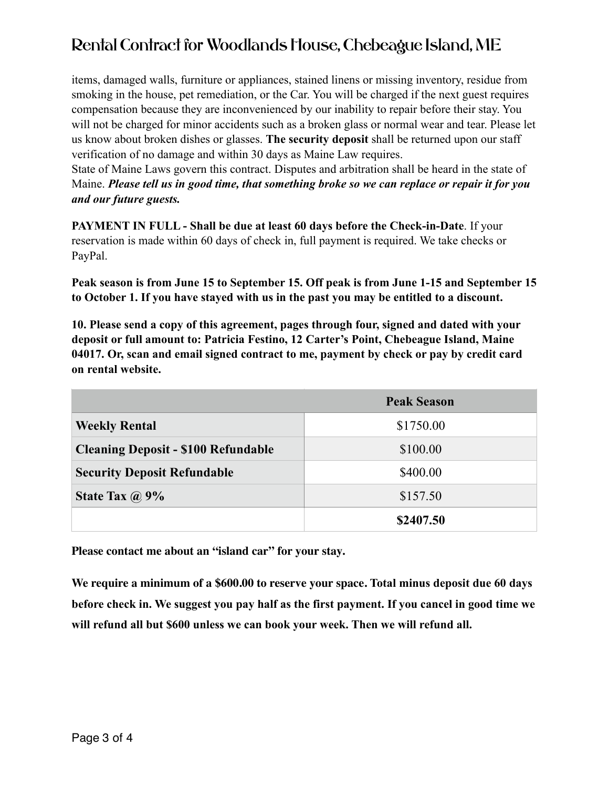items, damaged walls, furniture or appliances, stained linens or missing inventory, residue from smoking in the house, pet remediation, or the Car. You will be charged if the next guest requires compensation because they are inconvenienced by our inability to repair before their stay. You will not be charged for minor accidents such as a broken glass or normal wear and tear. Please let us know about broken dishes or glasses. **The security deposit** shall be returned upon our staff verification of no damage and within 30 days as Maine Law requires.

State of Maine Laws govern this contract. Disputes and arbitration shall be heard in the state of Maine. *Please tell us in good time, that something broke so we can replace or repair it for you and our future guests.* 

**PAYMENT IN FULL - Shall be due at least 60 days before the Check-in-Date**. If your reservation is made within 60 days of check in, full payment is required. We take checks or PayPal.

**Peak season is from June 15 to September 15. Off peak is from June 1-15 and September 15 to October 1. If you have stayed with us in the past you may be entitled to a discount.** 

**10. Please send a copy of this agreement, pages through four, signed and dated with your deposit or full amount to: Patricia Festino, 12 Carter's Point, Chebeague Island, Maine 04017. Or, scan and email signed contract to me, payment by check or pay by credit card on rental website.**

|                                            | <b>Peak Season</b> |
|--------------------------------------------|--------------------|
| <b>Weekly Rental</b>                       | \$1750.00          |
| <b>Cleaning Deposit - \$100 Refundable</b> | \$100.00           |
| <b>Security Deposit Refundable</b>         | \$400.00           |
| State Tax $\omega$ 9%                      | \$157.50           |
|                                            | \$2407.50          |

**Please contact me about an "island car" for your stay.**

**We require a minimum of a \$600.00 to reserve your space. Total minus deposit due 60 days before check in. We suggest you pay half as the first payment. If you cancel in good time we will refund all but \$600 unless we can book your week. Then we will refund all.**